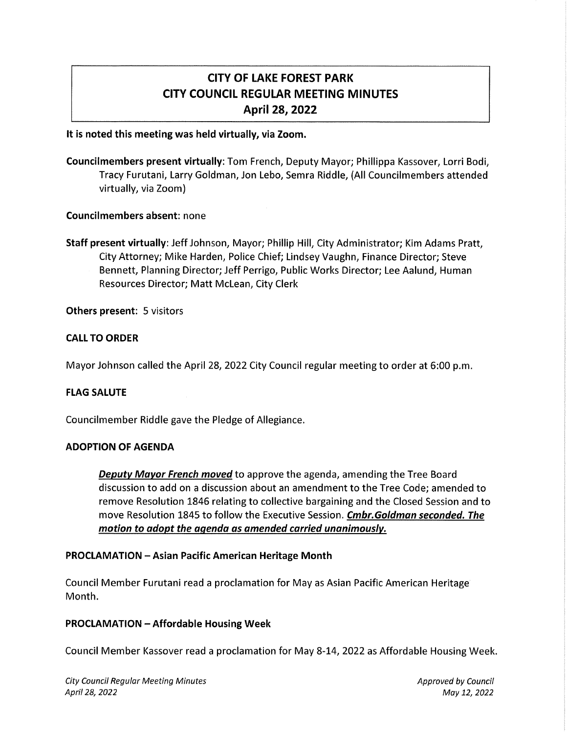# CITY OF LAKE FOREST PARK CITY COUNCIL REGULAR MEETING MINUTES April 28, 2022

### It is noted this meeting was held virtually, via Zoom.

Councilmembers present virtually: Tom French, Deputy Mayor; Phillippa Kassover, Lorri Bodi, Tracy Furutani, Larry Goldman, Jon Lebo, Semra Riddle, (All Councilmembers attended virtually, via Zoom)

#### Councilmembers absent: none

Staff present virtually: Jeff Johnson, Mayor; Phillip Hill, City Administrator; Kim Adams Pratt, City Attorney; Mike Harden, Police Chief; Lindsey Vaughn, Finance Director; Steve Bennett, Planning Director; Jeff Perrigo, Public Works Director; Lee Aalund, Human Resources Director; Matt Mclean, City Clerk

Others present: 5 visitors

#### CALL TO ORDER

Mayor Johnson called the April 28, 2022 City Council regular meeting to order at 6:00 p.m.

### FLAG SALUTE

Councilmember Riddle gave the Pledge of Allegiance.

#### ADOPTION OF AGENDA

Deputy Mayor French moved to approve the agenda, amending the Tree Board discussion to add on a discussion about an amendment to the Tree Code; amended to remove Resolution 1846 relating to collective bargaining and the Closed Session and to move Resolution 1845 to follow the Executive Session. Cmbr. Goldman seconded. The motion to adopt the agenda as amended carried unanimously.

#### PROCLAMATION - Asian Pacific American Heritage Month

Council Member Furutani read a proclamation for May as Asian Pacific American Heritage Month.

#### PROCLAMATION - Affordable Housing Week

Council Member Kassover read a proclamation for May 8-14, 2022 as Affordable Housing Week.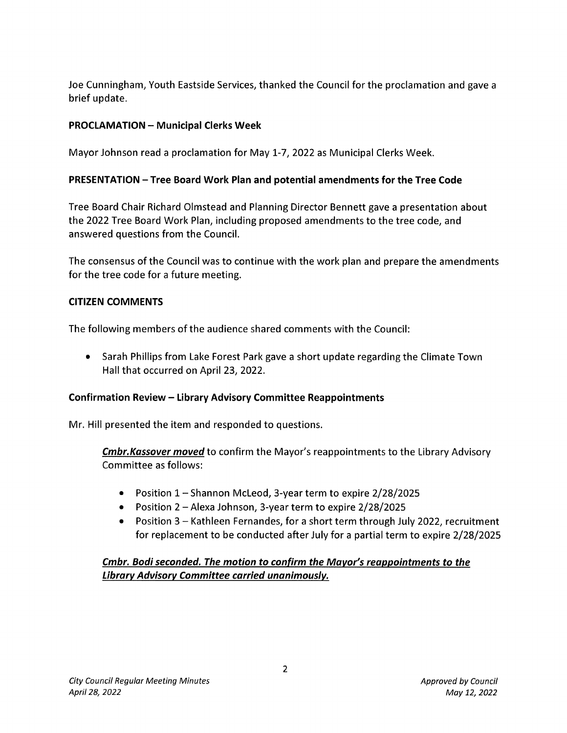Joe Cunningham, Youth Eastside Services, thanked the Council for the proclamation and gave a brief update.

# **PROCLAMATION - Municipal Clerks Week**

Mayor Johnson read a proclamation for May 1-7, 2022 as Municipal Clerks Week.

# **PRESENTATION -Tree Board Work Plan and potential amendments for the Tree Code**

Tree Board Chair Richard Olmstead and Planning Director Bennett gave a presentation about the 2022 Tree Board Work Plan, including proposed amendments to the tree code, and answered questions from the Council.

The consensus of the Council was to continue with the work plan and prepare the amendments for the tree code for a future meeting.

# **CITIZEN COMMENTS**

The following members of the audience shared comments with the Council:

• Sarah Phillips from Lake Forest Park gave a short update regarding the Climate Town Hall that occurred on April 23, 2022.

# **Confirmation Review - Library Advisory Committee Reappointments**

Mr. Hill presented the item and responded to questions.

*Cmbr.Kassover moved* to confirm the Mayor's reappointments to the Library Advisory Committee as follows:

- Position 1 Shannon McLeod, 3-year term to expire 2/28/2025
- Position 2 Alexa Johnson, 3-year term to expire 2/28/2025
- Position 3 Kathleen Fernandes, for a short term through July 2022, recruitment for replacement to be conducted after July for a partial term to expire 2/28/2025

# *Cmbr. Bodi seconded. The motion to confirm the Mayor's reappointments to the Library Advisory Committee carried unanimously.*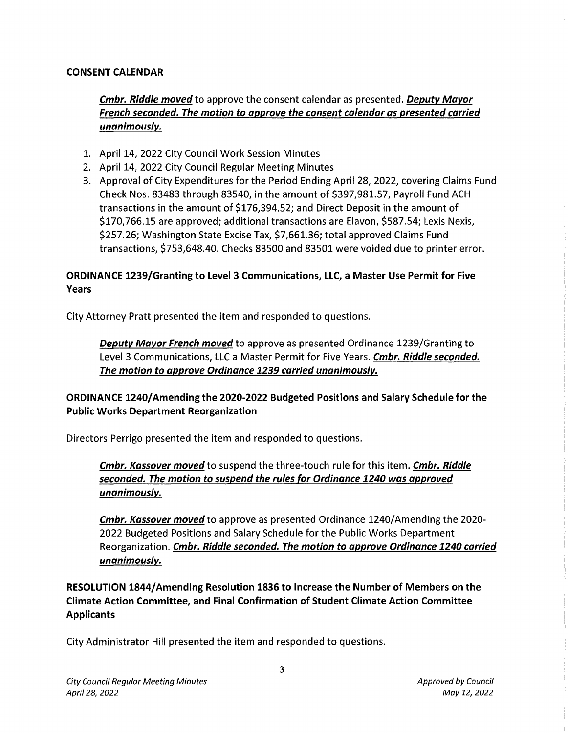### CONSENT CALENDAR

Cmbr. Riddle moved to approve the consent calendar as presented. Deputy Mayor French seconded. The motion to approve the consent calendar as presented carried unanimously.

- 1. April 14, 2022 City Council Work Session Minutes
- 2. April 14, 2022 City Council Regular Meeting Minutes
- 3. Approval of City Expenditures for the Period Ending April 28, 2022, covering Claims Fund Check Nos. 83483 through 83540, in the amount of \$397,981.57, Payroll Fund ACH transactions in the amount of \$176,394.52; and Direct Deposit in the amount of \$170,766.15 are approved; additional transactions are Elavon, \$587.54; Lexis Nexis, \$257.26; Washington State Excise Tax, \$7,661.36; total approved Claims Fund transactions, \$753,648.40. Checks 83500 and 83501 were voided due to printer error.

# ORDINANCE 1239/Granting to Level 3 Communications, LLC, a Master Use Permit for Five Years

City Attorney Pratt presented the item and responded to questions.

**Deputy Mayor French moved** to approve as presented Ordinance 1239/Granting to Level 3 Communications, LLC a Master Permit for Five Years. Cmbr. Riddle seconded. The motion to approve Ordinance 1239 carried unanimously.

ORDINANCE 1240/ Amending the 2020-2022 Budgeted Positions and Salary Schedule for the Public Works Department Reorganization

Directors Perrigo presented the item and responded to questions.

Cmbr. Kassover moved to suspend the three-touch rule for this item. Cmbr. Riddle seconded. The motion to suspend the rules for Ordinance 1240 was approved unanimously.

Cmbr. Kassover moved to approve as presented Ordinance 1240/Amending the 2020- 2022 Budgeted Positions and Salary Schedule for the Public Works Department Reorganization. Cmbr. Riddle seconded. The motion to approve Ordinance 1240 carried unanimously.

RESOLUTION 1844/ Amending Resolution 1836 to Increase the Number of Members on the Climate Action Committee, and Final Confirmation of Student Climate Action Committee Applicants

City Administrator Hill presented the item and responded to questions.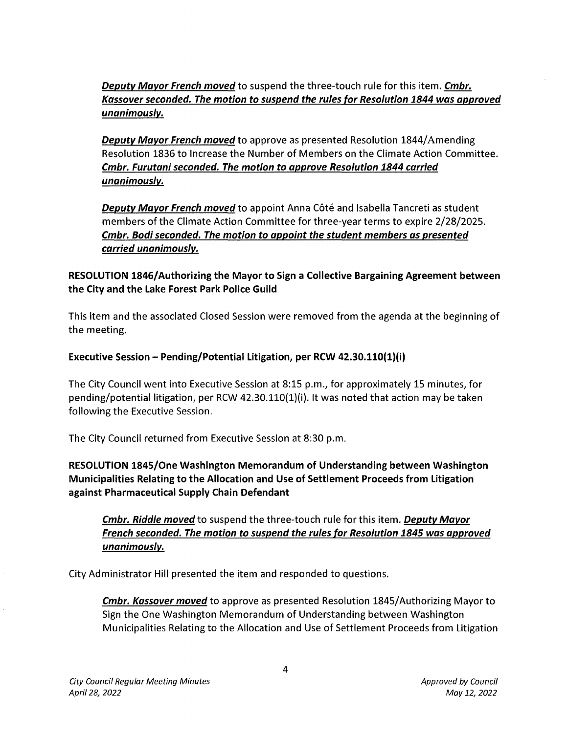Deputy Mayor French moved to suspend the three-touch rule for this item. Cmbr. Kassover seconded. The motion to suspend the rules for Resolution 1844 was approved unanimously.

**Deputy Mayor French moved to approve as presented Resolution 1844/Amending** Resolution 1836 to Increase the Number of Members on the Climate Action Committee. Cmbr. Furutani seconded. The motion to approve Resolution 1844 carried unanimously.

Deputy Mayor French moved to appoint Anna Côté and Isabella Tancreti as student members of the Climate Action Committee for three-year terms to expire 2/28/2025. Cmbr. Bodi seconded. The motion to appoint the student members as presented carried unanimously.

RESOLUTION 1846/ Authorizing the Mayor to Sign a Collective Bargaining Agreement between the City and the Lake Forest Park Police Guild

This item and the associated Closed Session were removed from the agenda at the beginning of the meeting.

### Executive Session - Pending/Potential Litigation, per RCW 42.30.110(1)(i)

The City Council went into Executive Session at 8:15 p.m., for approximately 15 minutes, for pending/potential litigation, per RCW 42.30.110(1)(i). It was noted that action may be taken following the Executive Session.

The City Council returned from Executive Session at 8:30 p.m.

RESOLUTION 1845/0ne Washington Memorandum of Understanding between Washington Municipalities Relating to the Allocation and Use of Settlement Proceeds from Litigation against Pharmaceutical Supply Chain Defendant

Cmbr. Riddle moved to suspend the three-touch rule for this item. Deputy Mayor French seconded. The motion to suspend the rules for Resolution 1845 was approved unanimously.

City Administrator Hill presented the item and responded to questions.

**Cmbr. Kassover moved** to approve as presented Resolution 1845/Authorizing Mayor to Sign the One Washington Memorandum of Understanding between Washington Municipalities Relating to the Allocation and Use of Settlement Proceeds from Litigation